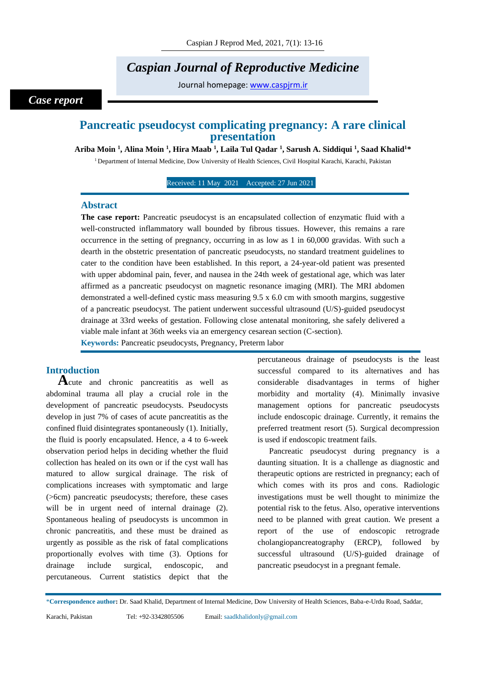# *Caspian Journal of Reproductive Medicine*

Journal homepage: [www.caspjrm.ir](http://www.caspjrm.ir/)

# *Case report*

# **Pancreatic pseudocyst complicating pregnancy: A rare clinical presentation**

**Ariba Moin <sup>1</sup> , Alina Moin <sup>1</sup> , Hira Maab <sup>1</sup> , Laila Tul Qadar <sup>1</sup> , Sarush A. Siddiqui <sup>1</sup> , Saad Khalid<sup>1</sup>\***

<sup>1</sup> Department of Internal Medicine, Dow University of Health Sciences, Civil Hospital Karachi, Karachi, Pakistan

Received: 11 May 2021 Accepted: 27 Jun 2021

#### **Abstract**

**The case report:** Pancreatic pseudocyst is an encapsulated collection of enzymatic fluid with a well-constructed inflammatory wall bounded by fibrous tissues. However, this remains a rare occurrence in the setting of pregnancy, occurring in as low as 1 in 60,000 gravidas. With such a dearth in the obstetric presentation of pancreatic pseudocysts, no standard treatment guidelines to cater to the condition have been established. In this report, a 24-year-old patient was presented with upper abdominal pain, fever, and nausea in the 24th week of gestational age, which was later affirmed as a pancreatic pseudocyst on magnetic resonance imaging (MRI). The MRI abdomen demonstrated a well-defined cystic mass measuring 9.5 x 6.0 cm with smooth margins, suggestive of a pancreatic pseudocyst. The patient underwent successful ultrasound (U/S)-guided pseudocyst drainage at 33rd weeks of gestation. Following close antenatal monitoring, she safely delivered a viable male infant at 36th weeks via an emergency cesarean section (C-section).

**Keywords:** Pancreatic pseudocysts, Pregnancy, Preterm labor

# **Introduction**

**A**cute and chronic pancreatitis as well as abdominal trauma all play a crucial role in the development of pancreatic pseudocysts. Pseudocysts develop in just 7% of cases of acute pancreatitis as the confined fluid disintegrates spontaneously (1). Initially, the fluid is poorly encapsulated. Hence, a 4 to 6-week observation period helps in deciding whether the fluid collection has healed on its own or if the cyst wall has matured to allow surgical drainage. The risk of complications increases with symptomatic and large (>6cm) pancreatic pseudocysts; therefore, these cases will be in urgent need of internal drainage (2). Spontaneous healing of pseudocysts is uncommon in chronic pancreatitis, and these must be drained as urgently as possible as the risk of fatal complications proportionally evolves with time (3). Options for drainage include surgical, endoscopic, and percutaneous. Current statistics depict that the

percutaneous drainage of pseudocysts is the least successful compared to its alternatives and has considerable disadvantages in terms of higher morbidity and mortality (4). Minimally invasive management options for pancreatic pseudocysts include endoscopic drainage. Currently, it remains the preferred treatment resort (5). Surgical decompression is used if endoscopic treatment fails.

Pancreatic pseudocyst during pregnancy is a daunting situation. It is a challenge as diagnostic and therapeutic options are restricted in pregnancy; each of which comes with its pros and cons. Radiologic investigations must be well thought to minimize the potential risk to the fetus. Also, operative interventions need to be planned with great caution. We present a report of the use of endoscopic retrograde cholangiopancreatography (ERCP), followed by successful ultrasound (U/S)-guided drainage of pancreatic pseudocyst in a pregnant female.

\***Correspondence author:** Dr. Saad Khalid, Department of Internal Medicine, Dow University of Health Sciences, Baba-e-Urdu Road, Saddar,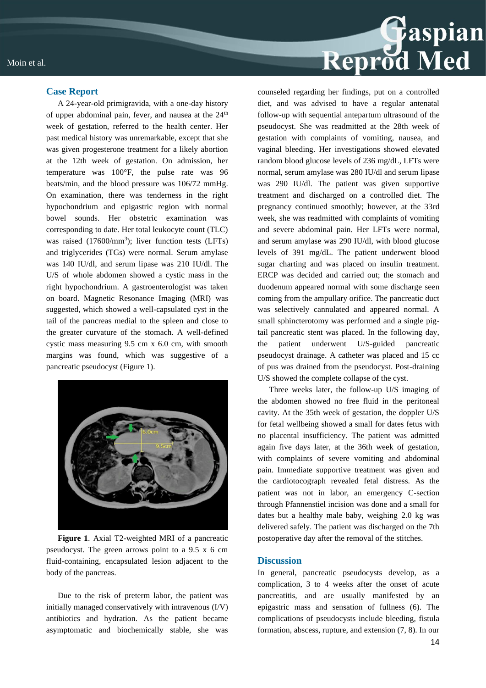

#### **Case Report**

A 24-year-old primigravida, with a one-day history of upper abdominal pain, fever, and nausea at the 24<sup>th</sup> week of gestation, referred to the health center. Her past medical history was unremarkable, except that she was given progesterone treatment for a likely abortion at the 12th week of gestation. On admission, her temperature was 100°F, the pulse rate was 96 beats/min, and the blood pressure was 106/72 mmHg. On examination, there was tenderness in the right hypochondrium and epigastric region with normal bowel sounds. Her obstetric examination was corresponding to date. Her total leukocyte count (TLC) was raised (17600/mm<sup>3</sup>); liver function tests (LFTs) and triglycerides (TGs) were normal. Serum amylase was 140 IU/dl, and serum lipase was 210 IU/dl. The U/S of whole abdomen showed a cystic mass in the right hypochondrium. A gastroenterologist was taken on board. Magnetic Resonance Imaging (MRI) was suggested, which showed a well-capsulated cyst in the tail of the pancreas medial to the spleen and close to the greater curvature of the stomach. A well-defined cystic mass measuring 9.5 cm x 6.0 cm, with smooth margins was found, which was suggestive of a pancreatic pseudocyst (Figure 1).



**Figure 1**. Axial T2-weighted MRI of a pancreatic pseudocyst. The green arrows point to a 9.5 x 6 cm fluid-containing, encapsulated lesion adjacent to the body of the pancreas.

Due to the risk of preterm labor, the patient was initially managed conservatively with intravenous (I/V) antibiotics and hydration. As the patient became asymptomatic and biochemically stable, she was

counseled regarding her findings, put on a controlled diet, and was advised to have a regular antenatal follow-up with sequential antepartum ultrasound of the pseudocyst. She was readmitted at the 28th week of gestation with complaints of vomiting, nausea, and vaginal bleeding. Her investigations showed elevated random blood glucose levels of 236 mg/dL, LFTs were normal, serum amylase was 280 IU/dl and serum lipase was 290 IU/dl. The patient was given supportive treatment and discharged on a controlled diet. The pregnancy continued smoothly; however, at the 33rd week, she was readmitted with complaints of vomiting and severe abdominal pain. Her LFTs were normal, and serum amylase was 290 IU/dl, with blood glucose levels of 391 mg/dL. The patient underwent blood sugar charting and was placed on insulin treatment. ERCP was decided and carried out; the stomach and duodenum appeared normal with some discharge seen coming from the ampullary orifice. The pancreatic duct was selectively cannulated and appeared normal. A small sphincterotomy was performed and a single pigtail pancreatic stent was placed. In the following day, the patient underwent U/S-guided pancreatic pseudocyst drainage. A catheter was placed and 15 cc of pus was drained from the pseudocyst. Post-draining U/S showed the complete collapse of the cyst.

Three weeks later, the follow-up U/S imaging of the abdomen showed no free fluid in the peritoneal cavity. At the 35th week of gestation, the doppler U/S for fetal wellbeing showed a small for dates fetus with no placental insufficiency. The patient was admitted again five days later, at the 36th week of gestation, with complaints of severe vomiting and abdominal pain. Immediate supportive treatment was given and the cardiotocograph revealed fetal distress. As the patient was not in labor, an emergency C-section through Pfannenstiel incision was done and a small for dates but a healthy male baby, weighing 2.0 kg was delivered safely. The patient was discharged on the 7th postoperative day after the removal of the stitches.

#### **Discussion**

In general, pancreatic pseudocysts develop, as a complication, 3 to 4 weeks after the onset of acute pancreatitis, and are usually manifested by an epigastric mass and sensation of fullness (6). The complications of pseudocysts include bleeding, fistula formation, abscess, rupture, and extension (7, 8). In our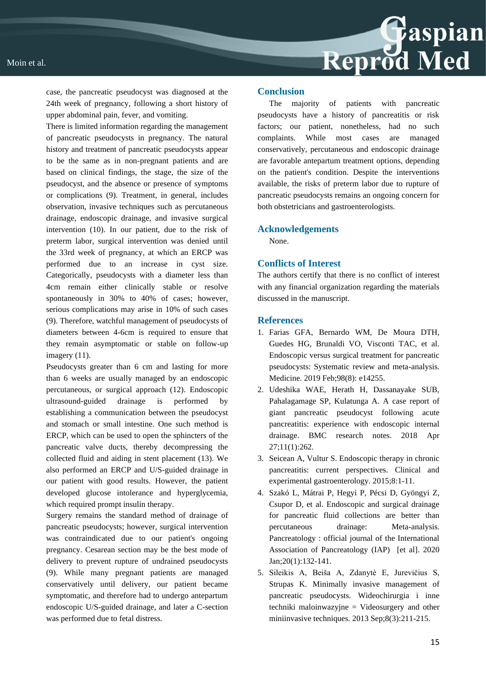case, the pancreatic pseudocyst was diagnosed at the 24th week of pregnancy, following a short history of upper abdominal pain, fever, and vomiting.

There is limited information regarding the management of pancreatic pseudocysts in pregnancy. The natural history and treatment of pancreatic pseudocysts appear to be the same as in non-pregnant patients and are based on clinical findings, the stage, the size of the pseudocyst, and the absence or presence of symptoms or complications (9). Treatment, in general, includes observation, invasive techniques such as percutaneous drainage, endoscopic drainage, and invasive surgical intervention (10). In our patient, due to the risk of preterm labor, surgical intervention was denied until the 33rd week of pregnancy, at which an ERCP was performed due to an increase in cyst size. Categorically, pseudocysts with a diameter less than 4cm remain either clinically stable or resolve spontaneously in 30% to 40% of cases; however, serious complications may arise in 10% of such cases (9). Therefore, watchful management of pseudocysts of diameters between 4-6cm is required to ensure that they remain asymptomatic or stable on follow-up imagery (11).

Pseudocysts greater than 6 cm and lasting for more than 6 weeks are usually managed by an endoscopic percutaneous, or surgical approach (12). Endoscopic ultrasound-guided drainage is performed by establishing a communication between the pseudocyst and stomach or small intestine. One such method is ERCP, which can be used to open the sphincters of the pancreatic valve ducts, thereby decompressing the collected fluid and aiding in stent placement (13). We also performed an ERCP and U/S-guided drainage in our patient with good results. However, the patient developed glucose intolerance and hyperglycemia, which required prompt insulin therapy.

Surgery remains the standard method of drainage of pancreatic pseudocysts; however, surgical intervention was contraindicated due to our patient's ongoing pregnancy. Cesarean section may be the best mode of delivery to prevent rupture of undrained pseudocysts (9). While many pregnant patients are managed conservatively until delivery, our patient became symptomatic, and therefore had to undergo antepartum endoscopic U/S-guided drainage, and later a C-section was performed due to fetal distress.

#### **Conclusion**

The majority of patients with pancreatic pseudocysts have a history of pancreatitis or risk factors; our patient, nonetheless, had no such complaints. While most cases are managed conservatively, percutaneous and endoscopic drainage are favorable antepartum treatment options, depending on the patient's condition. Despite the interventions available, the risks of preterm labor due to rupture of pancreatic pseudocysts remains an ongoing concern for both obstetricians and gastroenterologists.

#### **Acknowledgements**

None.

# **Conflicts of Interest**

The authors certify that there is no conflict of interest with any financial organization regarding the materials discussed in the manuscript.

# **References**

- 1. Farias GFA, Bernardo WM, De Moura DTH, Guedes HG, Brunaldi VO, Visconti TAC, et al. Endoscopic versus surgical treatment for pancreatic pseudocysts: Systematic review and meta-analysis. Medicine. 2019 Feb;98(8): e14255.
- 2. Udeshika WAE, Herath H, Dassanayake SUB, Pahalagamage SP, Kulatunga A. A case report of giant pancreatic pseudocyst following acute pancreatitis: experience with endoscopic internal drainage. BMC research notes. 2018 Apr 27;11(1):262.
- 3. Seicean A, Vultur S. Endoscopic therapy in chronic pancreatitis: current perspectives. Clinical and experimental gastroenterology. 2015;8:1-11.
- 4. Szakó L, Mátrai P, Hegyi P, Pécsi D, Gyöngyi Z, Csupor D, et al. Endoscopic and surgical drainage for pancreatic fluid collections are better than percutaneous drainage: Meta-analysis. Pancreatology : official journal of the International Association of Pancreatology (IAP) [et al]. 2020 Jan;20(1):132-141.
- 5. Sileikis A, Beiša A, Zdanytè E, Jurevičius S, Strupas K. Minimally invasive management of pancreatic pseudocysts. Wideochirurgia i inne techniki maloinwazyjne = Videosurgery and other miniinvasive techniques. 2013 Sep;8(3):211-215.